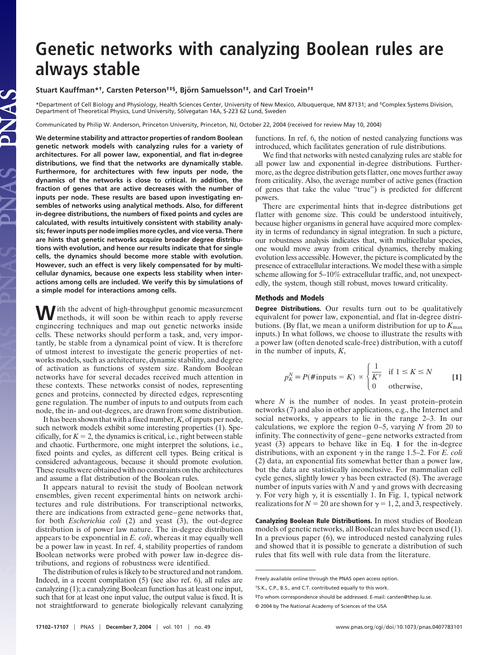# **Genetic networks with canalyzing Boolean rules are always stable**

# **Stuart Kauffman\*†, Carsten Peterson†‡§, Bjo¨rn Samuelsson†‡, and Carl Troein†‡**

\*Department of Cell Biology and Physiology, Health Sciences Center, University of New Mexico, Albuquerque, NM 87131; and ‡Complex Systems Division, Department of Theoretical Physics, Lund University, Sölvegatan 14A, S-223 62 Lund, Sweden

Communicated by Philip W. Anderson, Princeton University, Princeton, NJ, October 22, 2004 (received for review May 10, 2004)

**We determine stability and attractor properties of random Boolean genetic network models with canalyzing rules for a variety of architectures. For all power law, exponential, and flat in-degree distributions, we find that the networks are dynamically stable. Furthermore, for architectures with few inputs per node, the dynamics of the networks is close to critical. In addition, the fraction of genes that are active decreases with the number of inputs per node. These results are based upon investigating ensembles of networks using analytical methods. Also, for different in-degree distributions, the numbers of fixed points and cycles are calculated, with results intuitively consistent with stability analysis; fewer inputs per node implies more cycles, and vice versa. There are hints that genetic networks acquire broader degree distributions with evolution, and hence our results indicate that for single cells, the dynamics should become more stable with evolution. However, such an effect is very likely compensated for by multicellular dynamics, because one expects less stability when interactions among cells are included. We verify this by simulations of a simple model for interactions among cells.**

With the advent of high-throughput genomic measurement methods, it will soon be within reach to apply reverse engineering techniques and map out genetic networks inside cells. These networks should perform a task, and, very importantly, be stable from a dynamical point of view. It is therefore of utmost interest to investigate the generic properties of networks models, such as architecture, dynamic stability, and degree of activation as functions of system size. Random Boolean networks have for several decades received much attention in these contexts. These networks consist of nodes, representing genes and proteins, connected by directed edges, representing gene regulation. The number of inputs to and outputs from each node, the in- and out-degrees, are drawn from some distribution.

It has been shown that with a fixed number, *K*, of inputs per node, such network models exhibit some interesting properties (1). Specifically, for  $K = 2$ , the dynamics is critical, i.e., right between stable and chaotic. Furthermore, one might interpret the solutions, i.e., fixed points and cycles, as different cell types. Being critical is considered advantageous, because it should promote evolution. These results were obtained with no constraints on the architectures and assume a flat distribution of the Boolean rules.

It appears natural to revisit the study of Boolean network ensembles, given recent experimental hints on network architectures and rule distributions. For transcriptional networks, there are indications from extracted gene–gene networks that, for both *Escherichia coli* (2) and yeast (3), the out-degree distribution is of power law nature. The in-degree distribution appears to be exponential in *E. coli*, whereas it may equally well be a power law in yeast. In ref. 4, stability properties of random Boolean networks were probed with power law in-degree distributions, and regions of robustness were identified.

The distribution of rules is likely to be structured and not random. Indeed, in a recent compilation (5) (see also ref. 6), all rules are canalyzing (1); a canalyzing Boolean function has at least one input, such that for at least one input value, the output value is fixed. It is not straightforward to generate biologically relevant canalyzing functions. In ref. 6, the notion of nested canalyzing functions was introduced, which facilitates generation of rule distributions.

We find that networks with nested canalyzing rules are stable for all power law and exponential in-degree distributions. Furthermore, as the degree distribution gets flatter, one moves further away from criticality. Also, the average number of active genes (fraction of genes that take the value ''true'') is predicted for different powers.

There are experimental hints that in-degree distributions get flatter with genome size. This could be understood intuitively, because higher organisms in general have acquired more complexity in terms of redundancy in signal integration. In such a picture, our robustness analysis indicates that, with multicellular species, one would move away from critical dynamics, thereby making evolution less accessible. However, the picture is complicated by the presence of extracellular interactions. We model these with a simple scheme allowing for 5–10% extracellular traffic, and, not unexpectedly, the system, though still robust, moves toward criticality.

#### **Methods and Models**

**Degree Distributions.** Our results turn out to be qualitatively equivalent for power law, exponential, and flat in-degree distributions. (By flat, we mean a uniform distribution for up to  $K_{\text{max}}$ inputs.) In what follows, we choose to illustrate the results with a power law (often denoted scale-free) distribution, with a cutoff in the number of inputs, *K*,

$$
p_K^N \equiv P(\text{#inputs} = K) \propto \begin{cases} \frac{1}{K^\gamma} & \text{if } 1 \le K \le N \\ 0 & \text{otherwise,} \end{cases}
$$
 [1]

where *N* is the number of nodes. In yeast protein–protein networks (7) and also in other applications, e.g., the Internet and social networks,  $\gamma$  appears to lie in the range 2–3. In our calculations, we explore the region 0–5, varying *N* from 20 to infinity. The connectivity of gene–gene networks extracted from yeast (3) appears to behave like in Eq. **1** for the in-degree distributions, with an exponent  $\gamma$  in the range 1.5–2. For *E. coli* (2) data, an exponential fits somewhat better than a power law, but the data are statistically inconclusive. For mammalian cell cycle genes, slightly lower  $\gamma$  has been extracted (8). The average number of inputs varies with N and  $\gamma$  and grows with decreasing  $\gamma$ . For very high  $\gamma$ , it is essentially 1. In Fig. 1, typical network realizations for  $N = 20$  are shown for  $\gamma = 1, 2$ , and 3, respectively.

**Canalyzing Boolean Rule Distributions.** In most studies of Boolean models of genetic networks, all Boolean rules have been used (1). In a previous paper (6), we introduced nested canalyzing rules and showed that it is possible to generate a distribution of such rules that fits well with rule data from the literature.

Freely available online through the PNAS open access option.

<sup>†</sup>S.K., C.P., B.S., and C.T. contributed equally to this work.

<sup>§</sup>To whom correspondence should be addressed. E-mail: carsten@thep.lu.se. © 2004 by The National Academy of Sciences of the USA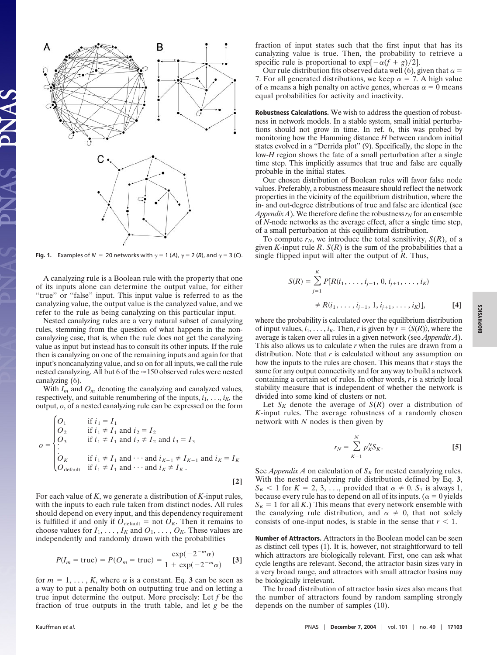

**Fig. 1.** Examples of  $N = 20$  networks with  $\gamma = 1$  (A),  $\gamma = 2$  (*B*), and  $\gamma = 3$  (*C*).

A canalyzing rule is a Boolean rule with the property that one of its inputs alone can determine the output value, for either "true" or "false" input. This input value is referred to as the canalyzing value, the output value is the canalyzed value, and we refer to the rule as being canalyzing on this particular input.

Nested canalyzing rules are a very natural subset of canalyzing rules, stemming from the question of what happens in the noncanalyzing case, that is, when the rule does not get the canalyzing value as input but instead has to consult its other inputs. If the rule then is canalyzing on one of the remaining inputs and again for that input's noncanalyzing value, and so on for all inputs, we call the rule nested canalyzing. All but 6 of the  $\approx$  150 observed rules were nested canalyzing (6).

With *I<sub>m</sub>* and *O<sub>m</sub>* denoting the canalyzing and canalyzed values, respectively, and suitable renumbering of the inputs,  $i_1, \ldots, i_K$ , the output, *o*, of a nested canalyzing rule can be expressed on the form

$$
o = \begin{cases} O_1 & \text{if } i_1 = I_1 \\ O_2 & \text{if } i_1 \neq I_1 \text{ and } i_2 = I_2 \\ O_3 & \text{if } i_1 \neq I_1 \text{ and } i_2 \neq I_2 \text{ and } i_3 = I_3 \\ \vdots & \vdots \\ O_K & \text{if } i_1 \neq I_1 \text{ and } \cdots \text{ and } i_{K-1} \neq I_{K-1} \text{ and } i_K = I_K \\ O_{\text{default}} & \text{if } i_1 \neq I_1 \text{ and } \cdots \text{ and } i_K \neq I_K. \end{cases}
$$
 [2]

For each value of *K*, we generate a distribution of *K*-input rules, with the inputs to each rule taken from distinct nodes. All rules should depend on every input, and this dependency requirement is fulfilled if and only if  $O_{\text{default}} = \text{not } O_K$ . Then it remains to choose values for  $I_1, \ldots, I_K$  and  $O_1, \ldots, O_K$ . These values are independently and randomly drawn with the probabilities

$$
P(I_m = \text{true}) = P(O_m = \text{true}) = \frac{\exp(-2^{-m}\alpha)}{1 + \exp(-2^{-m}\alpha)} \quad [3]
$$

for  $m = 1, \ldots, K$ , where  $\alpha$  is a constant. Eq. 3 can be seen as a way to put a penalty both on outputting true and on letting a true input determine the output. More precisely: Let *f* be the fraction of true outputs in the truth table, and let *g* be the fraction of input states such that the first input that has its canalyzing value is true. Then, the probability to retrieve a specific rule is proportional to  $\exp[-\alpha(f + g)/2]$ .

Our rule distribution fits observed data well (6), given that  $\alpha =$ 7. For all generated distributions, we keep  $\alpha = 7$ . A high value of  $\alpha$  means a high penalty on active genes, whereas  $\alpha = 0$  means equal probabilities for activity and inactivity.

**Robustness Calculations.** We wish to address the question of robustness in network models. In a stable system, small initial perturbations should not grow in time. In ref. 6, this was probed by monitoring how the Hamming distance *H* between random initial states evolved in a "Derrida plot" (9). Specifically, the slope in the low-*H* region shows the fate of a small perturbation after a single time step. This implicitly assumes that true and false are equally probable in the initial states.

Our chosen distribution of Boolean rules will favor false node values. Preferably, a robustness measure should reflect the network properties in the vicinity of the equilibrium distribution, where the in- and out-degree distributions of true and false are identical (see *Appendix A*). We therefore define the robustness  $r_N$  for an ensemble of *N*-node networks as the average effect, after a single time step, of a small perturbation at this equilibrium distribution.

To compute  $r_N$ , we introduce the total sensitivity,  $S(R)$ , of a given *K*-input rule *R*.  $S(R)$  is the sum of the probabilities that a single flipped input will alter the output of *R*. Thus,

$$
S(R) = \sum_{j=1}^{K} P[R(i_1, \dots, i_{j-1}, 0, i_{j+1}, \dots, i_K)]
$$
  

$$
\neq R(i_1, \dots, i_{j-1}, 1, i_{j+1}, \dots, i_K)], \qquad [4]
$$

where the probability is calculated over the equilibrium distribution of input values,  $i_1, \ldots, i_K$ . Then, *r* is given by  $r = \langle S(R) \rangle$ , where the average is taken over all rules in a given network (see *Appendix A*). This also allows us to calculate *r* when the rules are drawn from a distribution. Note that *r* is calculated without any assumption on how the inputs to the rules are chosen. This means that *r* stays the same for any output connectivity and for any way to build a network containing a certain set of rules. In other words, *r* is a strictly local stability measure that is independent of whether the network is divided into some kind of clusters or not.

Let  $S_K$  denote the average of  $S(R)$  over a distribution of *K*-input rules. The average robustness of a randomly chosen network with *N* nodes is then given by

$$
r_N = \sum_{K=1}^{N} p_K^N S_K.
$$
 [5]

See *Appendix A* on calculation of  $S_K$  for nested canalyzing rules. With the nested canalyzing rule distribution defined by Eq. **3**,  $S_K$  < 1 for  $K = 2, 3, \ldots$ , provided that  $\alpha \neq 0$ .  $S_1$  is always 1, because every rule has to depend on all of its inputs. ( $\alpha = 0$  yields  $S_K = 1$  for all *K*.) This means that every network ensemble with the canalyzing rule distribution, and  $\alpha \neq 0$ , that not solely consists of one-input nodes, is stable in the sense that  $r < 1$ .

**Number of Attractors.** Attractors in the Boolean model can be seen as distinct cell types (1). It is, however, not straightforward to tell which attractors are biologically relevant. First, one can ask what cycle lengths are relevant. Second, the attractor basin sizes vary in a very broad range, and attractors with small attractor basins may be biologically irrelevant.

The broad distribution of attractor basin sizes also means that the number of attractors found by random sampling strongly depends on the number of samples (10).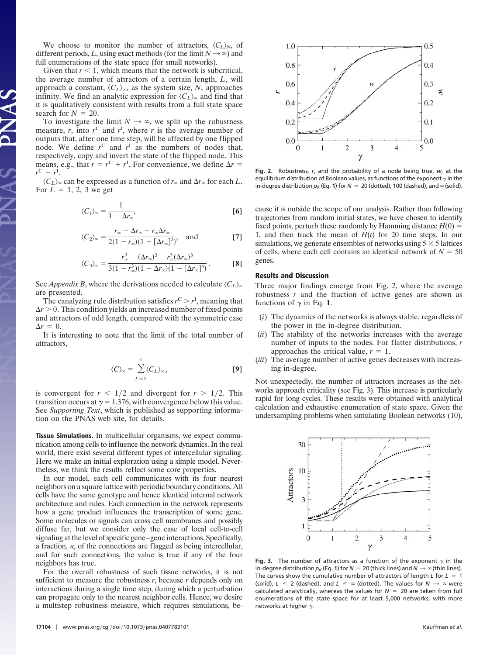We choose to monitor the number of attractors,  $\langle C_L \rangle_N$ , of different periods, *L*, using exact methods (for the limit  $N \rightarrow \infty$ ) and full enumerations of the state space (for small networks).

Given that  $r < 1$ , which means that the network is subcritical, the average number of attractors of a certain length, *L*, will approach a constant,  $\langle C_L \rangle_{\infty}$ , as the system size, N, approaches infinity. We find an analytic expression for  $\langle C_L \rangle_{\infty}$  and find that it is qualitatively consistent with results from a full state space search for  $N = 20$ .

To investigate the limit  $N \to \infty$ , we split up the robustness measure,  $r$ , into  $r^C$  and  $r^I$ , where  $r$  is the average number of outputs that, after one time step, will be affected by one flipped node. We define  $r^C$  and  $r^I$  as the numbers of nodes that, respectively, copy and invert the state of the flipped node. This means, e.g., that  $r = r^C + r^I$ . For convenience, we define  $\Delta r =$  $r^{\mathrm{C}} - r^{\mathrm{I}}$ .

 $\langle C_L \rangle_{\infty}$  can be expressed as a function of  $r_{\infty}$  and  $\Delta r_{\infty}$  for each *L*. For  $L = 1, 2, 3$  we get

$$
\langle C_1 \rangle_{\infty} = \frac{1}{1 - \Delta r_{\infty}},
$$
 [6]

$$
\langle C_2 \rangle_{\infty} = \frac{r_{\infty} - \Delta r_{\infty} + r_{\infty} \Delta r_{\infty}}{2(1 - r_{\infty})(1 - [\Delta r_{\infty}]^2)}, \text{ and}
$$
 [7]

$$
\langle C_3 \rangle_{\infty} = \frac{r_{\infty}^3 + (\Delta r_{\infty})^3 - r_{\infty}^3 (\Delta r_{\infty})^3}{3(1 - r_{\infty}^3)(1 - \Delta r_{\infty})(1 - [\Delta r_{\infty}]^3)}.
$$
 [8]

See *Appendix B*, where the derivations needed to calculate  $\langle C_L \rangle_{\infty}$ are presented.

The canalyzing rule distribution satisfies  $r^C > r^I$ , meaning that  $\Delta r > 0$ . This condition yields an increased number of fixed points and attractors of odd length, compared with the symmetric case  $\Delta r = 0$ .

It is interesting to note that the limit of the total number of attractors,

$$
\langle C \rangle_{\infty} = \sum_{L=1}^{\infty} \langle C_L \rangle_{\infty}, \tag{9}
$$

is convergent for  $r < 1/2$  and divergent for  $r > 1/2$ . This transition occurs at  $\gamma = 1.376$ , with convergence below this value. See *Supporting Text*, which is published as supporting information on the PNAS web site, for details.

**Tissue Simulations.** In multicellular organisms, we expect communication among cells to influence the network dynamics. In the real world, there exist several different types of intercellular signaling. Here we make an initial exploration using a simple model. Nevertheless, we think the results reflect some core properties.

In our model, each cell communicates with its four nearest neighbors on a square lattice with periodic boundary conditions. All cells have the same genotype and hence identical internal network architecture and rules. Each connection in the network represents how a gene product influences the transcription of some gene. Some molecules or signals can cross cell membranes and possibly diffuse far, but we consider only the case of local cell-to-cell signaling at the level of specific gene–gene interactions. Specifically, a fraction,  $\kappa$ , of the connections are flagged as being intercellular, and for such connections, the value is true if any of the four neighbors has true.

For the overall robustness of such tissue networks, it is not sufficient to measure the robustness *r*, because *r* depends only on interactions during a single time step, during which a perturbation can propagate only to the nearest neighbor cells. Hence, we desire a multistep robustness measure, which requires simulations, be-



**Fig. 2.** Robustness, *r*, and the probability of a node being true, *w*, at the equilibrium distribution of Boolean values, as functions of the exponent  $\gamma$  in the in-degree distribution  $p_K$  (Eq. 1) for  $N = 20$  (dotted), 100 (dashed), and  $\infty$  (solid).

cause it is outside the scope of our analysis. Rather than following trajectories from random initial states, we have chosen to identify fixed points, perturb these randomly by Hamming distance  $H(0)$  = 1, and then track the mean of  $H(t)$  for 20 time steps. In our simulations, we generate ensembles of networks using  $5 \times 5$  lattices of cells, where each cell contains an identical network of  $N = 50$ genes.

## **Results and Discussion**

Three major findings emerge from Fig. 2, where the average robustness *r* and the fraction of active genes are shown as functions of  $\gamma$  in Eq. 1.

- (*i*) The dynamics of the networks is always stable, regardless of the power in the in-degree distribution.
- (*ii*) The stability of the networks increases with the average number of inputs to the nodes. For flatter distributions, *r* approaches the critical value,  $r = 1$ .
- (*iii*) The average number of active genes decreases with increasing in-degree.

Not unexpectedly, the number of attractors increases as the networks approach criticality (see Fig. 3). This increase is particularly rapid for long cycles. These results were obtained with analytical calculation and exhaustive enumeration of state space. Given the undersampling problems when simulating Boolean networks (10),



**Fig. 3.** The number of attractors as a function of the exponent  $\gamma$  in the in-degree distribution  $p_K$  (Eq. 1) for  $N = 20$  (thick lines) and  $N \rightarrow \infty$  (thin lines). The curves show the cumulative number of attractors of length *L* for  $L = 1$ (solid),  $L \le 2$  (dashed), and  $L \le \infty$  (dotted). The values for  $N \to \infty$  were calculated analytically, whereas the values for  $N = 20$  are taken from full enumerations of the state space for at least 5,000 networks, with more networks at higher  $\gamma$ .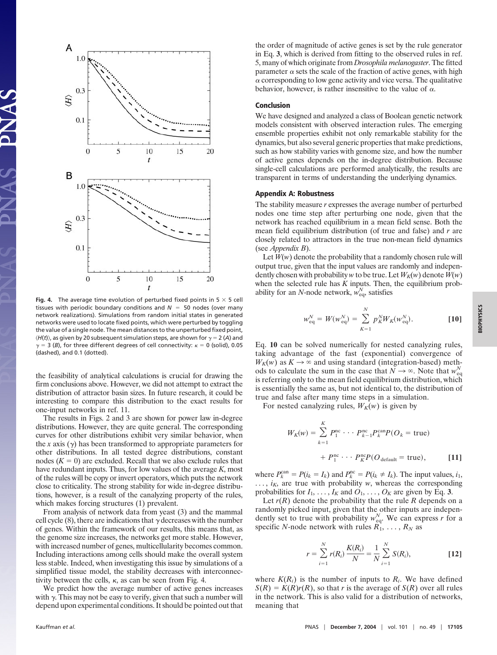

**Fig. 4.** The average time evolution of perturbed fixed points in  $5 \times 5$  cell tissues with periodic boundary conditions and  $N = 50$  nodes (over many network realizations). Simulations from random initial states in generated networks were used to locate fixed points, which were perturbed by toggling the value of a single node. The mean distances to the unperturbed fixed point,  $\langle H(t) \rangle$ , as given by 20 subsequent simulation steps, are shown for  $\gamma$  = 2 (A) and  $\gamma$  = 3 (*B*), for three different degrees of cell connectivity:  $\kappa$  = 0 (solid), 0.05 (dashed), and 0.1 (dotted).

the feasibility of analytical calculations is crucial for drawing the firm conclusions above. However, we did not attempt to extract the distribution of attractor basin sizes. In future research, it could be interesting to compare this distribution to the exact results for one-input networks in ref. 11.

The results in Figs. 2 and 3 are shown for power law in-degree distributions. However, they are quite general. The corresponding curves for other distributions exhibit very similar behavior, when the *x* axis  $(\gamma)$  has been transformed to appropriate parameters for other distributions. In all tested degree distributions, constant nodes  $(K = 0)$  are excluded. Recall that we also exclude rules that have redundant inputs. Thus, for low values of the average *K*, most of the rules will be copy or invert operators, which puts the network close to criticality. The strong stability for wide in-degree distributions, however, is a result of the canalyzing property of the rules, which makes forcing structures (1) prevalent.

From analysis of network data from yeast (3) and the mammal cell cycle  $(8)$ , there are indications that  $\gamma$  decreases with the number of genes. Within the framework of our results, this means that, as the genome size increases, the networks get more stable. However, with increased number of genes, multicellularity becomes common. Including interactions among cells should make the overall system less stable. Indeed, when investigating this issue by simulations of a simplified tissue model, the stability decreases with interconnectivity between the cells,  $\kappa$ , as can be seen from Fig. 4.

We predict how the average number of active genes increases with  $\gamma$ . This may not be easy to verify, given that such a number will depend upon experimental conditions. It should be pointed out that

the order of magnitude of active genes is set by the rule generator in Eq. **3**, which is derived from fitting to the observed rules in ref. 5, many of which originate from *Drosophila melanogaster*. The fitted parameter  $\alpha$  sets the scale of the fraction of active genes, with high  $\alpha$  corresponding to low gene activity and vice versa. The qualitative behavior, however, is rather insensitive to the value of  $\alpha$ .

## **Conclusion**

We have designed and analyzed a class of Boolean genetic network models consistent with observed interaction rules. The emerging ensemble properties exhibit not only remarkable stability for the dynamics, but also several generic properties that make predictions, such as how stability varies with genome size, and how the number of active genes depends on the in-degree distribution. Because single-cell calculations are performed analytically, the results are transparent in terms of understanding the underlying dynamics.

#### **Appendix A: Robustness**

The stability measure *r* expresses the average number of perturbed nodes one time step after perturbing one node, given that the network has reached equilibrium in a mean field sense. Both the mean field equilibrium distribution (of true and false) and *r* are closely related to attractors in the true non-mean field dynamics (see *Appendix B*).

Let  $W(w)$  denote the probability that a randomly chosen rule will output true, given that the input values are randomly and independently chosen with probability *w* to be true. Let  $W_K(w)$  denote  $W(w)$ when the selected rule has  $K$  inputs. Then, the equilibrium probability for an *N*-node network,  $\hat{w}_{eq}^{N}$ , satisfies

$$
w_{\text{eq}}^{N} = W(w_{\text{eq}}^{N}) = \sum_{K=1}^{N} p_{K}^{N} W_{K}(w_{\text{eq}}^{N}).
$$
 [10]

Eq. **10** can be solved numerically for nested canalyzing rules, taking advantage of the fast (exponential) convergence of  $W_K(w)$  as  $K \to \infty$  and using standard (integration-based) methods to calculate the sum in the case that  $N \to \infty$ . Note that  $w_{eq}^N$ is referring only to the mean field equilibrium distribution, which is essentially the same as, but not identical to, the distribution of true and false after many time steps in a simulation.

For nested canalyzing rules,  $W_K(w)$  is given by

$$
W_K(w) = \sum_{k=1}^{K} P_1^{\text{nc}} \cdots P_{k-1}^{\text{nc}} P_k^{\text{can}} P(O_k = \text{true})
$$
  
+  $P_1^{\text{nc}} \cdots P_K^{\text{nc}} P(O_{\text{default}} = \text{true}),$  [11]

where  $P_k^{\text{can}} = P(i_k = I_k)$  and  $P_k^{\text{nc}} = P(i_k \neq I_k)$ . The input values,  $i_1$ ,  $\ldots$ ,  $i_k$ , are true with probability *w*, whereas the corresponding probabilities for  $I_1, \ldots, I_K$  and  $O_1, \ldots, O_K$  are given by Eq. 3.

Let  $r(R)$  denote the probability that the rule  $R$  depends on a randomly picked input, given that the other inputs are independently set to true with probability  $w_{eq}^N$ . We can express *r* for a specific *N*-node network with rules  $R_1, \ldots, R_N$  as

$$
r = \sum_{i=1}^{N} r(R_i) \frac{K(R_i)}{N} = \frac{1}{N} \sum_{i=1}^{N} S(R_i),
$$
 [12]

where  $K(R_i)$  is the number of inputs to  $R_i$ . We have defined  $S(R) = K(R)r(R)$ , so that *r* is the average of  $S(R)$  over all rules in the network. This is also valid for a distribution of networks, meaning that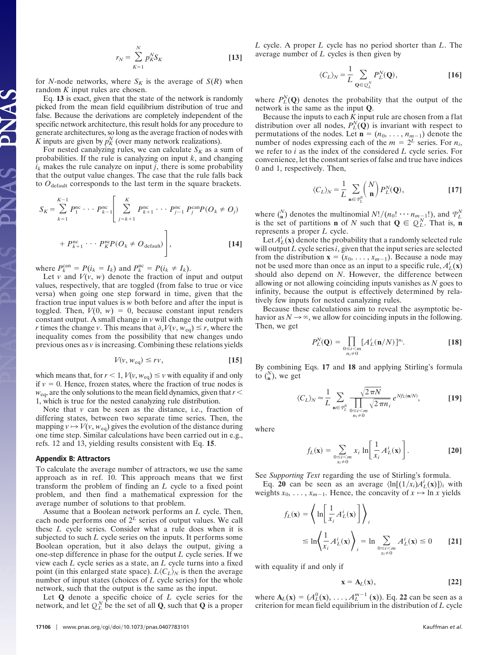$$
r_N = \sum_{K=1}^{N} p_K^N S_K \tag{13}
$$

for *N*-node networks, where  $S_K$  is the average of  $S(R)$  when random *K* input rules are chosen.

Eq. **13** is exact, given that the state of the network is randomly picked from the mean field equilibrium distribution of true and false. Because the derivations are completely independent of the specific network architecture, this result holds for any procedure to generate architectures, so long as the average fraction of nodes with  $\tilde{K}$  inputs are given by  $p_K^N$  (over many network realizations).

PNAS

S<br>A<br>J

For nested canalyzing rules, we can calculate  $S_K$  as a sum of probabilities. If the rule is canalyzing on input *k*, and changing  $i_k$  makes the rule canalyze on input  $j$ , there is some probability that the output value changes. The case that the rule falls back to *O*default corresponds to the last term in the square brackets.

$$
S_{K} = \sum_{k=1}^{K-1} P_{1}^{\text{nc}} \cdots P_{k-1}^{\text{nc}} \Bigg[ \sum_{j=k+1}^{K} P_{k+1}^{\text{nc}} \cdots P_{j-1}^{\text{nc}} P_{j}^{\text{can}} P(O_{k} \neq O_{j}) + P_{k+1}^{\text{nc}} \cdots P_{K}^{\text{nc}} P(O_{k} \neq O_{\text{default}}) \Bigg], \qquad [14]
$$

where  $P_k^{\text{can}} = P(i_k = I_k)$  and  $P_k^{\text{nc}} = P(i_k \neq I_k)$ .

Let  $v$  and  $V(v, w)$  denote the fraction of input and output values, respectively, that are toggled (from false to true or vice versa) when going one step forward in time, given that the fraction true input values is *w* both before and after the input is toggled. Then,  $V(0, w) = 0$ , because constant input renders constant output. A small change in *v* will change the output with *r* times the change *v*. This means that  $\partial_{\nu}V(v, w_{\text{eq}}) \leq r$ , where the inequality comes from the possibility that new changes undo previous ones as *v* is increasing. Combining these relations yields

$$
V(v, w_{eq}) \le rv,
$$
 [15]

which means that, for  $r < 1$ ,  $V(v, w_{eq}) \le v$  with equality if and only if  $v = 0$ . Hence, frozen states, where the fraction of true nodes is  $w_{\text{eq}}$ , are the only solutions to the mean field dynamics, given that  $r <$ 1, which is true for the nested canalyzing rule distribution.

Note that  $\nu$  can be seen as the distance, i.e., fraction of differing states, between two separate time series. Then, the mapping  $v \mapsto V(v, w_{eq})$  gives the evolution of the distance during one time step. Similar calculations have been carried out in e.g., refs. 12 and 13, yielding results consistent with Eq. **15**.

#### **Appendix B: Attractors**

To calculate the average number of attractors, we use the same approach as in ref. 10. This approach means that we first transform the problem of finding an *L* cycle to a fixed point problem, and then find a mathematical expression for the average number of solutions to that problem.

Assume that a Boolean network performs an *L* cycle. Then, each node performs one of 2*<sup>L</sup>* series of output values. We call these *L* cycle series. Consider what a rule does when it is subjected to such *L* cycle series on the inputs. It performs some Boolean operation, but it also delays the output, giving a one-step difference in phase for the output *L* cycle series. If we view each *L* cycle series as a state, an *L* cycle turns into a fixed point (in this enlarged state space).  $L \langle C_L \rangle_N$  is then the average number of input states (choices of L cycle series) for the whole network, such that the output is the same as the input.

Let **Q** denote a specific choice of *L* cycle series for the network, and let  $Q_L^N$  be the set of all **Q**, such that **Q** is a proper *L* cycle. A proper *L* cycle has no period shorter than *L*. The average number of *L* cycles is then given by

$$
\langle C_L \rangle_N = \frac{1}{L} \sum_{\mathbf{Q} \in \mathcal{Q}_L^N} P_L^N(\mathbf{Q}), \tag{16}
$$

where  $P_L^N(\mathbf{Q})$  denotes the probability that the output of the network is the same as the input **Q**.

Because the inputs to each *K* input rule are chosen from a flat distribution over all nodes,  $P_L^N(\mathbf{Q})$  is invariant with respect to permutations of the nodes. Let  $\mathbf{n} = (n_0, \ldots, n_{m-1})$  denote the number of nodes expressing each of the  $m = 2^L$  series. For  $n_i$ , we refer to *i* as the index of the considered *L* cycle series. For convenience, let the constant series of false and true have indices 0 and 1, respectively. Then,

$$
\langle C_L \rangle_N = \frac{1}{L} \sum_{\mathbf{n} \in \mathcal{T}_L^N} \binom{N}{\mathbf{n}} P_L^N(\mathbf{Q}), \tag{17}
$$

where  $\binom{N}{n}$  denotes the multinomial  $N!/(n_0! \cdots n_{m-1}!)$ , and  $\mathcal{P}_L^N$ is the set of partitions **n** of *N* such that  $Q \in Q_L^N$ . That is, **n** represents a proper *L* cycle.

Let  $A_L^i(\mathbf{x})$  denote the probability that a randomly selected rule will output *L* cycle series *i*, given that the input series are selected from the distribution  $\mathbf{x} = (x_0, \ldots, x_{m-1})$ . Because a node may not be used more than once as an input to a specific rule,  $A_L^i(\mathbf{x})$ should also depend on *N*. However, the difference between allowing or not allowing coinciding inputs vanishes as *N* goes to infinity, because the output is effectively determined by relatively few inputs for nested canalyzing rules.

Because these calculations aim to reveal the asymptotic behavior as  $N \rightarrow \infty$ , we allow for coinciding inputs in the following. Then, we get

$$
P_L^N(\mathbf{Q}) = \prod_{\substack{0 \le i < m \\ n_i \neq 0}} [A_L^i(\mathbf{n}/N)]^{n_i}.\tag{18}
$$

By combining Eqs. **17** and **18** and applying Stirling's formula to  $\binom{N}{n}$ , we get

$$
\langle C_L \rangle_N \approx \frac{1}{L} \sum_{\mathbf{n} \in \mathcal{P}_L^N} \frac{\sqrt{2\pi N}}{\int_{\substack{0 \le i < m \\ n_i \neq 0}} \sqrt{2\pi n_i}} e^{Nf_L(\mathbf{n}/N)}, \tag{19}
$$

where

$$
f_L(\mathbf{x}) = \sum_{\substack{0 \le i < m \\ x_i \neq 0}} x_i \ln \left[ \frac{1}{x_i} A_L^i(\mathbf{x}) \right]. \tag{20}
$$

See *Supporting Text* regarding the use of Stirling's formula.

Eq. 20 can be seen as an average  $\langle \ln[(1/x_i)A_L^i(\mathbf{x})]\rangle_i$  with weights  $x_0, \ldots, x_{m-1}$ . Hence, the concavity of  $x \mapsto \ln x$  yields

$$
f_L(\mathbf{x}) = \left\langle \ln \left[ \frac{1}{x_i} A_L^i(\mathbf{x}) \right] \right\rangle_i
$$
  

$$
\leq \ln \left\langle \frac{1}{x_i} A_L^i(\mathbf{x}) \right\rangle_i = \ln \sum_{0 \leq i < m \atop x_i \neq 0} A_L^i(\mathbf{x}) \leq 0 \qquad \text{[21]}
$$

with equality if and only if

$$
\mathbf{x} = \mathbf{A}_L(\mathbf{x}),\tag{22}
$$

where  $A_L(x) = (A_L^0(x), \ldots, A_L^{m-1}(x))$ . Eq. 22 can be seen as a criterion for mean field equilibrium in the distribution of *L* cycle